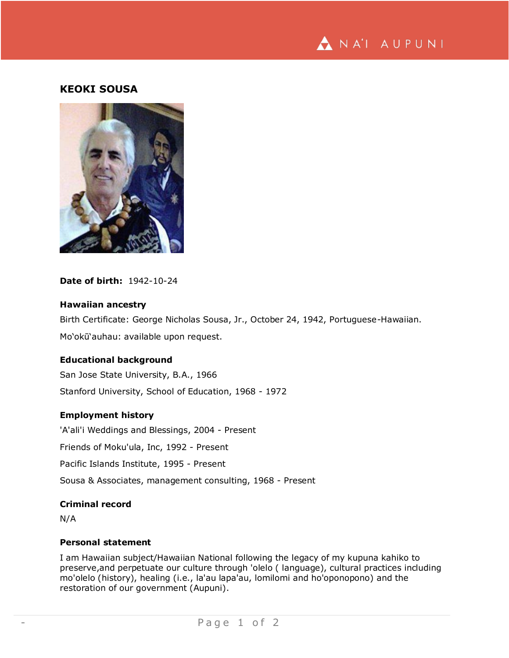

# **KEOKI SOUSA**



**Date of birth:** 1942-10-24

## **Hawaiian ancestry**

Birth Certificate: George Nicholas Sousa, Jr., October 24, 1942, Portuguese-Hawaiian. Mo'okū'auhau: available upon request.

## **Educational background**

San Jose State University, B.A., 1966 Stanford University, School of Education, 1968 - 1972

## **Employment history**

'A'ali'i Weddings and Blessings, 2004 - Present

Friends of Moku'ula, Inc, 1992 - Present

Pacific Islands Institute, 1995 - Present

Sousa & Associates, management consulting, 1968 - Present

#### **Criminal record**

N/A

#### **Personal statement**

I am Hawaiian subject/Hawaiian National following the legacy of my kupuna kahiko to preserve,and perpetuate our culture through 'olelo ( language), cultural practices including mo'olelo (history), healing (i.e., la'au lapa'au, lomilomi and ho'oponopono) and the restoration of our government (Aupuni).